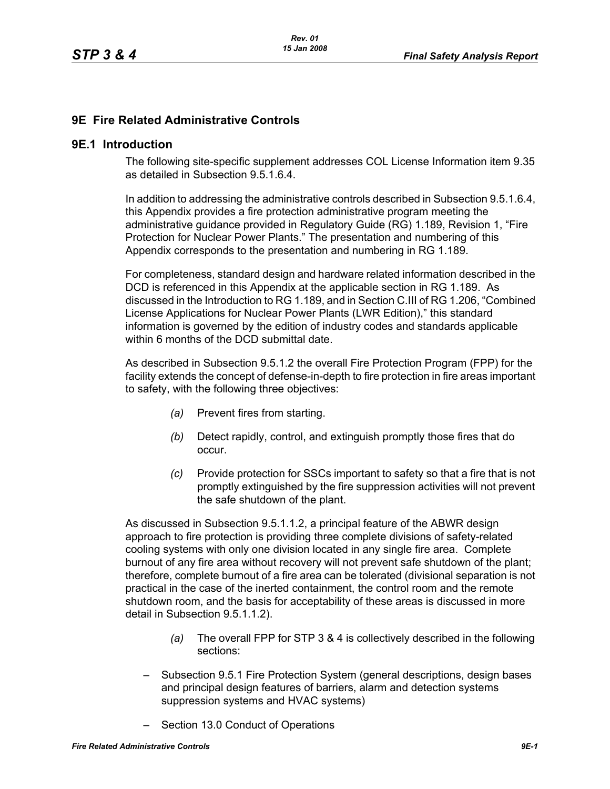# **9E Fire Related Administrative Controls**

#### **9E.1 Introduction**

The following site-specific supplement addresses COL License Information item 9.35 as detailed in Subsection 9.5.1.6.4.

In addition to addressing the administrative controls described in Subsection 9.5.1.6.4, this Appendix provides a fire protection administrative program meeting the administrative guidance provided in Regulatory Guide (RG) 1.189, Revision 1, "Fire Protection for Nuclear Power Plants." The presentation and numbering of this Appendix corresponds to the presentation and numbering in RG 1.189.

For completeness, standard design and hardware related information described in the DCD is referenced in this Appendix at the applicable section in RG 1.189. As discussed in the Introduction to RG 1.189, and in Section C.III of RG 1.206, "Combined License Applications for Nuclear Power Plants (LWR Edition)," this standard information is governed by the edition of industry codes and standards applicable within 6 months of the DCD submittal date.

As described in Subsection 9.5.1.2 the overall Fire Protection Program (FPP) for the facility extends the concept of defense-in-depth to fire protection in fire areas important to safety, with the following three objectives:

- *(a)* Prevent fires from starting.
- *(b)* Detect rapidly, control, and extinguish promptly those fires that do occur.
- *(c)* Provide protection for SSCs important to safety so that a fire that is not promptly extinguished by the fire suppression activities will not prevent the safe shutdown of the plant.

As discussed in Subsection 9.5.1.1.2, a principal feature of the ABWR design approach to fire protection is providing three complete divisions of safety-related cooling systems with only one division located in any single fire area. Complete burnout of any fire area without recovery will not prevent safe shutdown of the plant; therefore, complete burnout of a fire area can be tolerated (divisional separation is not practical in the case of the inerted containment, the control room and the remote shutdown room, and the basis for acceptability of these areas is discussed in more detail in Subsection 9.5.1.1.2).

- *(a)* The overall FPP for STP 3 & 4 is collectively described in the following sections:
- Subsection 9.5.1 Fire Protection System (general descriptions, design bases and principal design features of barriers, alarm and detection systems suppression systems and HVAC systems)
- Section 13.0 Conduct of Operations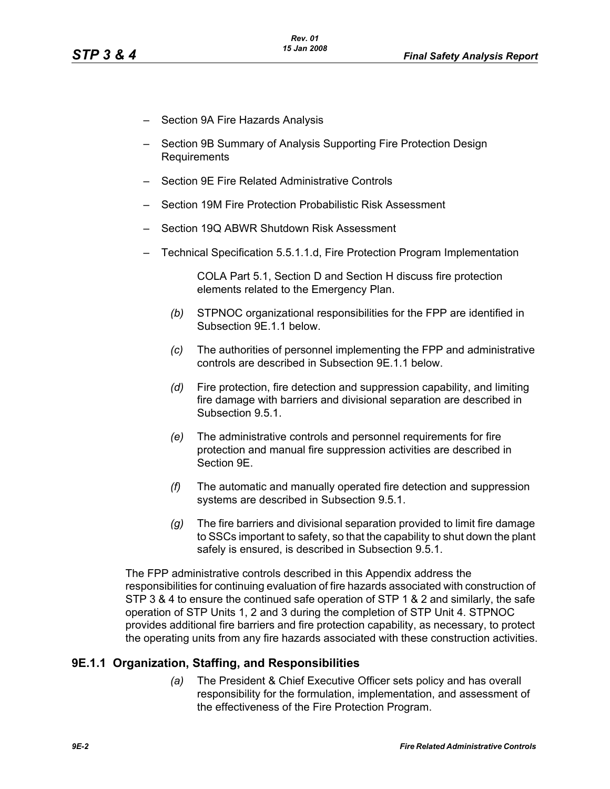- Section 9A Fire Hazards Analysis
- Section 9B Summary of Analysis Supporting Fire Protection Design Requirements
- Section 9E Fire Related Administrative Controls
- Section 19M Fire Protection Probabilistic Risk Assessment
- Section 19Q ABWR Shutdown Risk Assessment
- Technical Specification 5.5.1.1.d, Fire Protection Program Implementation

COLA Part 5.1, Section D and Section H discuss fire protection elements related to the Emergency Plan.

- *(b)* STPNOC organizational responsibilities for the FPP are identified in Subsection 9E.1.1 below.
- *(c)* The authorities of personnel implementing the FPP and administrative controls are described in Subsection 9E.1.1 below.
- *(d)* Fire protection, fire detection and suppression capability, and limiting fire damage with barriers and divisional separation are described in Subsection 9.5.1.
- *(e)* The administrative controls and personnel requirements for fire protection and manual fire suppression activities are described in Section 9E.
- *(f)* The automatic and manually operated fire detection and suppression systems are described in Subsection 9.5.1.
- *(g)* The fire barriers and divisional separation provided to limit fire damage to SSCs important to safety, so that the capability to shut down the plant safely is ensured, is described in Subsection 9.5.1.

The FPP administrative controls described in this Appendix address the responsibilities for continuing evaluation of fire hazards associated with construction of STP 3 & 4 to ensure the continued safe operation of STP 1 & 2 and similarly, the safe operation of STP Units 1, 2 and 3 during the completion of STP Unit 4. STPNOC provides additional fire barriers and fire protection capability, as necessary, to protect the operating units from any fire hazards associated with these construction activities.

### **9E.1.1 Organization, Staffing, and Responsibilities**

*(a)* The President & Chief Executive Officer sets policy and has overall responsibility for the formulation, implementation, and assessment of the effectiveness of the Fire Protection Program.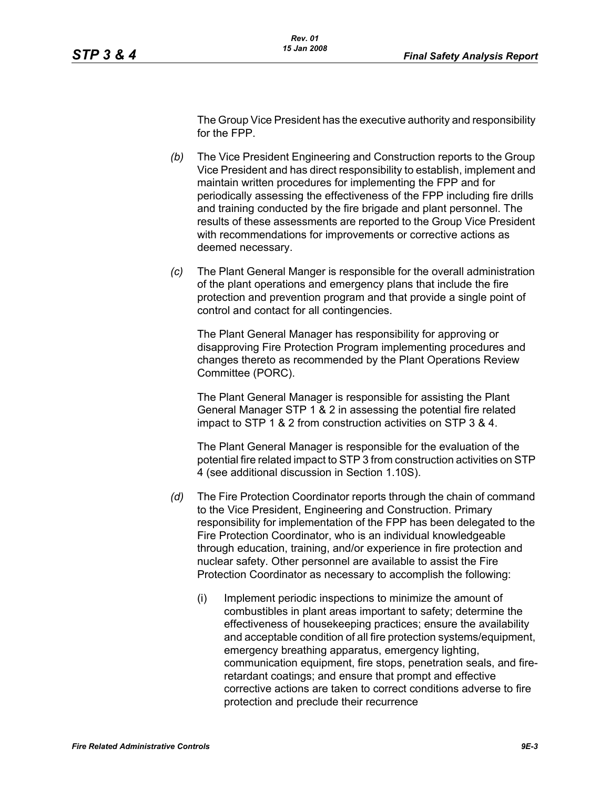The Group Vice President has the executive authority and responsibility for the FPP.

- *(b)* The Vice President Engineering and Construction reports to the Group Vice President and has direct responsibility to establish, implement and maintain written procedures for implementing the FPP and for periodically assessing the effectiveness of the FPP including fire drills and training conducted by the fire brigade and plant personnel. The results of these assessments are reported to the Group Vice President with recommendations for improvements or corrective actions as deemed necessary.
- *(c)* The Plant General Manger is responsible for the overall administration of the plant operations and emergency plans that include the fire protection and prevention program and that provide a single point of control and contact for all contingencies.

The Plant General Manager has responsibility for approving or disapproving Fire Protection Program implementing procedures and changes thereto as recommended by the Plant Operations Review Committee (PORC).

The Plant General Manager is responsible for assisting the Plant General Manager STP 1 & 2 in assessing the potential fire related impact to STP 1 & 2 from construction activities on STP 3 & 4.

The Plant General Manager is responsible for the evaluation of the potential fire related impact to STP 3 from construction activities on STP 4 (see additional discussion in Section 1.10S).

- *(d)* The Fire Protection Coordinator reports through the chain of command to the Vice President, Engineering and Construction. Primary responsibility for implementation of the FPP has been delegated to the Fire Protection Coordinator, who is an individual knowledgeable through education, training, and/or experience in fire protection and nuclear safety. Other personnel are available to assist the Fire Protection Coordinator as necessary to accomplish the following:
	- (i) Implement periodic inspections to minimize the amount of combustibles in plant areas important to safety; determine the effectiveness of housekeeping practices; ensure the availability and acceptable condition of all fire protection systems/equipment, emergency breathing apparatus, emergency lighting, communication equipment, fire stops, penetration seals, and fireretardant coatings; and ensure that prompt and effective corrective actions are taken to correct conditions adverse to fire protection and preclude their recurrence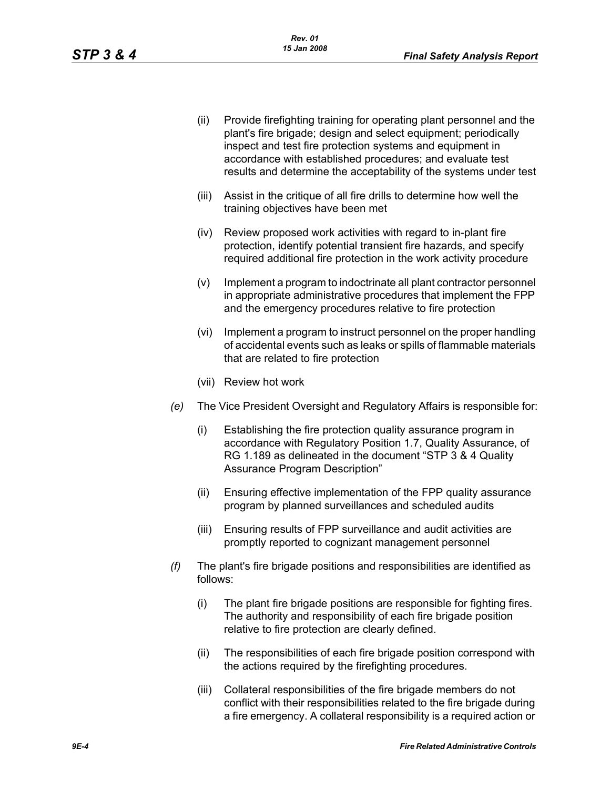- (ii) Provide firefighting training for operating plant personnel and the plant's fire brigade; design and select equipment; periodically inspect and test fire protection systems and equipment in accordance with established procedures; and evaluate test results and determine the acceptability of the systems under test
- (iii) Assist in the critique of all fire drills to determine how well the training objectives have been met
- (iv) Review proposed work activities with regard to in-plant fire protection, identify potential transient fire hazards, and specify required additional fire protection in the work activity procedure
- (v) Implement a program to indoctrinate all plant contractor personnel in appropriate administrative procedures that implement the FPP and the emergency procedures relative to fire protection
- (vi) Implement a program to instruct personnel on the proper handling of accidental events such as leaks or spills of flammable materials that are related to fire protection
- (vii) Review hot work
- *(e)* The Vice President Oversight and Regulatory Affairs is responsible for:
	- (i) Establishing the fire protection quality assurance program in accordance with Regulatory Position 1.7, Quality Assurance, of RG 1.189 as delineated in the document "STP 3 & 4 Quality Assurance Program Description"
	- (ii) Ensuring effective implementation of the FPP quality assurance program by planned surveillances and scheduled audits
	- (iii) Ensuring results of FPP surveillance and audit activities are promptly reported to cognizant management personnel
- *(f)* The plant's fire brigade positions and responsibilities are identified as follows:
	- (i) The plant fire brigade positions are responsible for fighting fires. The authority and responsibility of each fire brigade position relative to fire protection are clearly defined.
	- (ii) The responsibilities of each fire brigade position correspond with the actions required by the firefighting procedures.
	- (iii) Collateral responsibilities of the fire brigade members do not conflict with their responsibilities related to the fire brigade during a fire emergency. A collateral responsibility is a required action or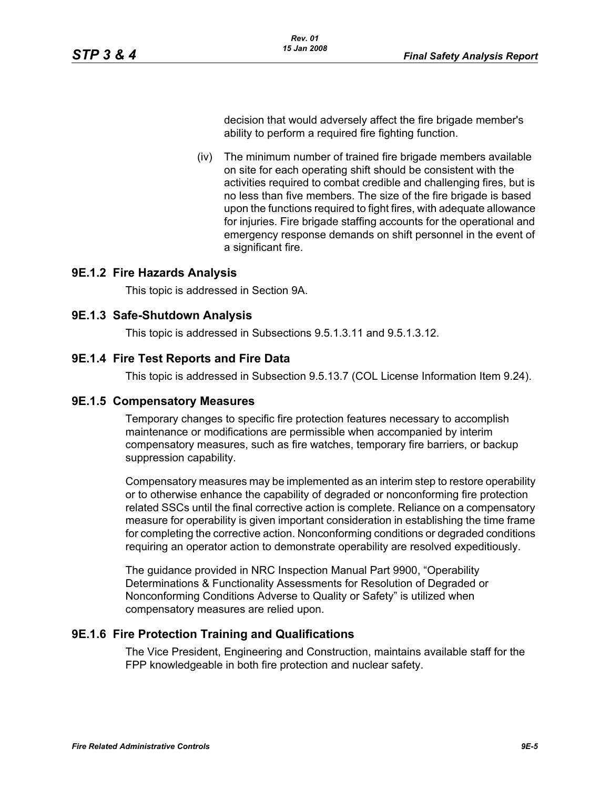decision that would adversely affect the fire brigade member's ability to perform a required fire fighting function.

(iv) The minimum number of trained fire brigade members available on site for each operating shift should be consistent with the activities required to combat credible and challenging fires, but is no less than five members. The size of the fire brigade is based upon the functions required to fight fires, with adequate allowance for injuries. Fire brigade staffing accounts for the operational and emergency response demands on shift personnel in the event of a significant fire.

#### **9E.1.2 Fire Hazards Analysis**

This topic is addressed in Section 9A.

#### **9E.1.3 Safe-Shutdown Analysis**

This topic is addressed in Subsections 9.5.1.3.11 and 9.5.1.3.12.

#### **9E.1.4 Fire Test Reports and Fire Data**

This topic is addressed in Subsection 9.5.13.7 (COL License Information Item 9.24).

#### **9E.1.5 Compensatory Measures**

Temporary changes to specific fire protection features necessary to accomplish maintenance or modifications are permissible when accompanied by interim compensatory measures, such as fire watches, temporary fire barriers, or backup suppression capability.

Compensatory measures may be implemented as an interim step to restore operability or to otherwise enhance the capability of degraded or nonconforming fire protection related SSCs until the final corrective action is complete. Reliance on a compensatory measure for operability is given important consideration in establishing the time frame for completing the corrective action. Nonconforming conditions or degraded conditions requiring an operator action to demonstrate operability are resolved expeditiously.

The guidance provided in NRC Inspection Manual Part 9900, "Operability Determinations & Functionality Assessments for Resolution of Degraded or Nonconforming Conditions Adverse to Quality or Safety" is utilized when compensatory measures are relied upon.

#### **9E.1.6 Fire Protection Training and Qualifications**

The Vice President, Engineering and Construction, maintains available staff for the FPP knowledgeable in both fire protection and nuclear safety.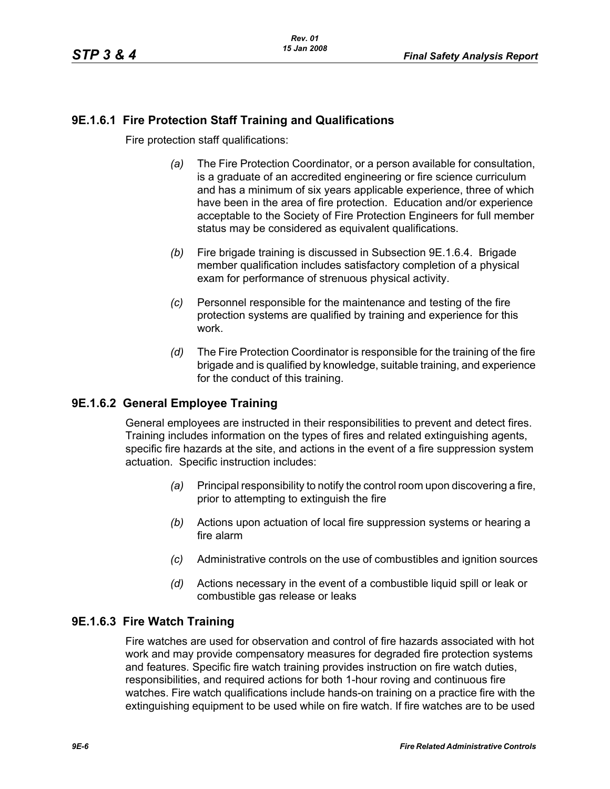# **9E.1.6.1 Fire Protection Staff Training and Qualifications**

Fire protection staff qualifications:

- *(a)* The Fire Protection Coordinator, or a person available for consultation, is a graduate of an accredited engineering or fire science curriculum and has a minimum of six years applicable experience, three of which have been in the area of fire protection. Education and/or experience acceptable to the Society of Fire Protection Engineers for full member status may be considered as equivalent qualifications.
- *(b)* Fire brigade training is discussed in Subsection 9E.1.6.4. Brigade member qualification includes satisfactory completion of a physical exam for performance of strenuous physical activity.
- *(c)* Personnel responsible for the maintenance and testing of the fire protection systems are qualified by training and experience for this work.
- *(d)* The Fire Protection Coordinator is responsible for the training of the fire brigade and is qualified by knowledge, suitable training, and experience for the conduct of this training.

# **9E.1.6.2 General Employee Training**

General employees are instructed in their responsibilities to prevent and detect fires. Training includes information on the types of fires and related extinguishing agents, specific fire hazards at the site, and actions in the event of a fire suppression system actuation. Specific instruction includes:

- *(a)* Principal responsibility to notify the control room upon discovering a fire, prior to attempting to extinguish the fire
- *(b)* Actions upon actuation of local fire suppression systems or hearing a fire alarm
- *(c)* Administrative controls on the use of combustibles and ignition sources
- *(d)* Actions necessary in the event of a combustible liquid spill or leak or combustible gas release or leaks

# **9E.1.6.3 Fire Watch Training**

Fire watches are used for observation and control of fire hazards associated with hot work and may provide compensatory measures for degraded fire protection systems and features. Specific fire watch training provides instruction on fire watch duties, responsibilities, and required actions for both 1-hour roving and continuous fire watches. Fire watch qualifications include hands-on training on a practice fire with the extinguishing equipment to be used while on fire watch. If fire watches are to be used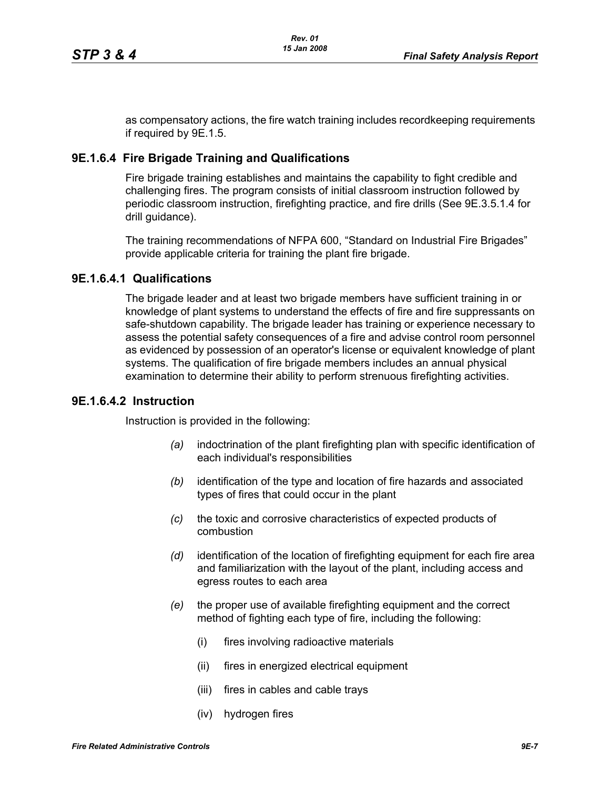as compensatory actions, the fire watch training includes recordkeeping requirements if required by 9E.1.5.

#### **9E.1.6.4 Fire Brigade Training and Qualifications**

Fire brigade training establishes and maintains the capability to fight credible and challenging fires. The program consists of initial classroom instruction followed by periodic classroom instruction, firefighting practice, and fire drills (See 9E.3.5.1.4 for drill guidance).

The training recommendations of NFPA 600, "Standard on Industrial Fire Brigades" provide applicable criteria for training the plant fire brigade.

#### **9E.1.6.4.1 Qualifications**

The brigade leader and at least two brigade members have sufficient training in or knowledge of plant systems to understand the effects of fire and fire suppressants on safe-shutdown capability. The brigade leader has training or experience necessary to assess the potential safety consequences of a fire and advise control room personnel as evidenced by possession of an operator's license or equivalent knowledge of plant systems. The qualification of fire brigade members includes an annual physical examination to determine their ability to perform strenuous firefighting activities.

#### **9E.1.6.4.2 Instruction**

Instruction is provided in the following:

- *(a)* indoctrination of the plant firefighting plan with specific identification of each individual's responsibilities
- *(b)* identification of the type and location of fire hazards and associated types of fires that could occur in the plant
- *(c)* the toxic and corrosive characteristics of expected products of combustion
- *(d)* identification of the location of firefighting equipment for each fire area and familiarization with the layout of the plant, including access and egress routes to each area
- *(e)* the proper use of available firefighting equipment and the correct method of fighting each type of fire, including the following:
	- (i) fires involving radioactive materials
	- (ii) fires in energized electrical equipment
	- (iii) fires in cables and cable trays
	- (iv) hydrogen fires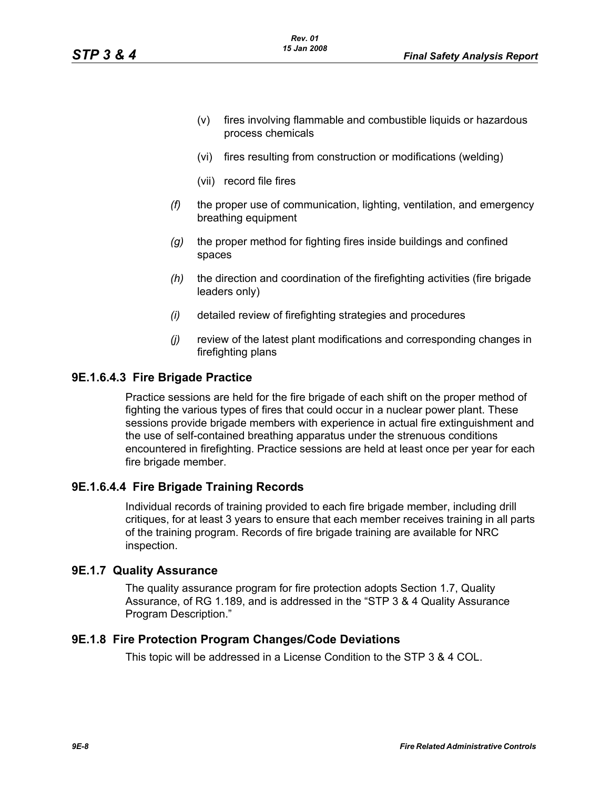- (v) fires involving flammable and combustible liquids or hazardous process chemicals
- (vi) fires resulting from construction or modifications (welding)
- (vii) record file fires
- *(f)* the proper use of communication, lighting, ventilation, and emergency breathing equipment
- *(g)* the proper method for fighting fires inside buildings and confined spaces
- *(h)* the direction and coordination of the firefighting activities (fire brigade leaders only)
- *(i)* detailed review of firefighting strategies and procedures
- *(j)* review of the latest plant modifications and corresponding changes in firefighting plans

#### **9E.1.6.4.3 Fire Brigade Practice**

Practice sessions are held for the fire brigade of each shift on the proper method of fighting the various types of fires that could occur in a nuclear power plant. These sessions provide brigade members with experience in actual fire extinguishment and the use of self-contained breathing apparatus under the strenuous conditions encountered in firefighting. Practice sessions are held at least once per year for each fire brigade member.

### **9E.1.6.4.4 Fire Brigade Training Records**

Individual records of training provided to each fire brigade member, including drill critiques, for at least 3 years to ensure that each member receives training in all parts of the training program. Records of fire brigade training are available for NRC inspection.

#### **9E.1.7 Quality Assurance**

The quality assurance program for fire protection adopts Section 1.7, Quality Assurance, of RG 1.189, and is addressed in the "STP 3 & 4 Quality Assurance Program Description."

#### **9E.1.8 Fire Protection Program Changes/Code Deviations**

This topic will be addressed in a License Condition to the STP 3 & 4 COL.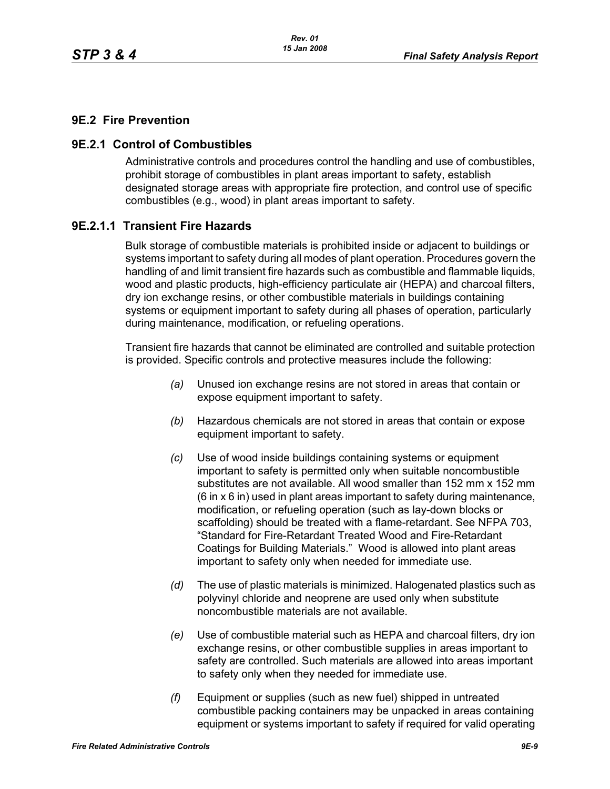# **9E.2 Fire Prevention**

## **9E.2.1 Control of Combustibles**

Administrative controls and procedures control the handling and use of combustibles, prohibit storage of combustibles in plant areas important to safety, establish designated storage areas with appropriate fire protection, and control use of specific combustibles (e.g., wood) in plant areas important to safety.

## **9E.2.1.1 Transient Fire Hazards**

Bulk storage of combustible materials is prohibited inside or adjacent to buildings or systems important to safety during all modes of plant operation. Procedures govern the handling of and limit transient fire hazards such as combustible and flammable liquids, wood and plastic products, high-efficiency particulate air (HEPA) and charcoal filters, dry ion exchange resins, or other combustible materials in buildings containing systems or equipment important to safety during all phases of operation, particularly during maintenance, modification, or refueling operations.

Transient fire hazards that cannot be eliminated are controlled and suitable protection is provided. Specific controls and protective measures include the following:

- *(a)* Unused ion exchange resins are not stored in areas that contain or expose equipment important to safety.
- *(b)* Hazardous chemicals are not stored in areas that contain or expose equipment important to safety.
- *(c)* Use of wood inside buildings containing systems or equipment important to safety is permitted only when suitable noncombustible substitutes are not available. All wood smaller than 152 mm x 152 mm (6 in x 6 in) used in plant areas important to safety during maintenance, modification, or refueling operation (such as lay-down blocks or scaffolding) should be treated with a flame-retardant. See NFPA 703, "Standard for Fire-Retardant Treated Wood and Fire-Retardant Coatings for Building Materials." Wood is allowed into plant areas important to safety only when needed for immediate use.
- *(d)* The use of plastic materials is minimized. Halogenated plastics such as polyvinyl chloride and neoprene are used only when substitute noncombustible materials are not available.
- *(e)* Use of combustible material such as HEPA and charcoal filters, dry ion exchange resins, or other combustible supplies in areas important to safety are controlled. Such materials are allowed into areas important to safety only when they needed for immediate use.
- *(f)* Equipment or supplies (such as new fuel) shipped in untreated combustible packing containers may be unpacked in areas containing equipment or systems important to safety if required for valid operating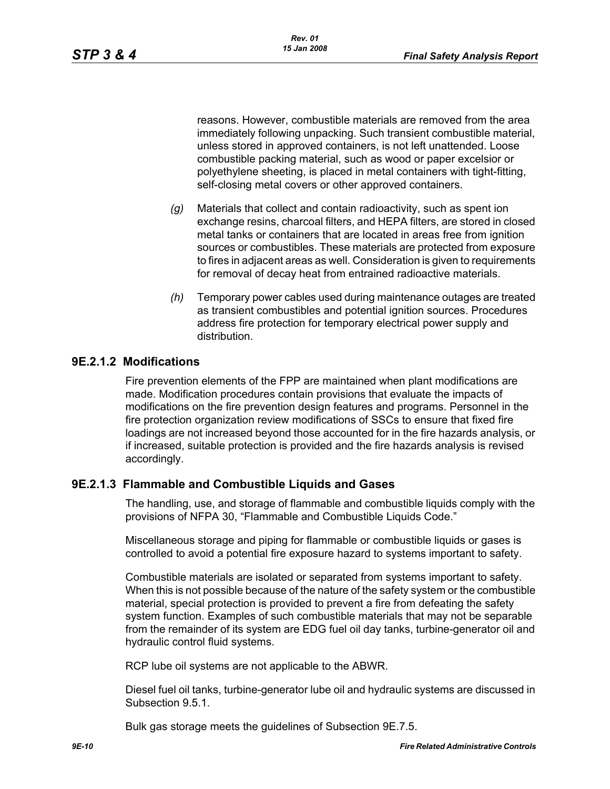reasons. However, combustible materials are removed from the area immediately following unpacking. Such transient combustible material, unless stored in approved containers, is not left unattended. Loose combustible packing material, such as wood or paper excelsior or polyethylene sheeting, is placed in metal containers with tight-fitting, self-closing metal covers or other approved containers.

- *(g)* Materials that collect and contain radioactivity, such as spent ion exchange resins, charcoal filters, and HEPA filters, are stored in closed metal tanks or containers that are located in areas free from ignition sources or combustibles. These materials are protected from exposure to fires in adjacent areas as well. Consideration is given to requirements for removal of decay heat from entrained radioactive materials.
- *(h)* Temporary power cables used during maintenance outages are treated as transient combustibles and potential ignition sources. Procedures address fire protection for temporary electrical power supply and distribution.

# **9E.2.1.2 Modifications**

Fire prevention elements of the FPP are maintained when plant modifications are made. Modification procedures contain provisions that evaluate the impacts of modifications on the fire prevention design features and programs. Personnel in the fire protection organization review modifications of SSCs to ensure that fixed fire loadings are not increased beyond those accounted for in the fire hazards analysis, or if increased, suitable protection is provided and the fire hazards analysis is revised accordingly.

### **9E.2.1.3 Flammable and Combustible Liquids and Gases**

The handling, use, and storage of flammable and combustible liquids comply with the provisions of NFPA 30, "Flammable and Combustible Liquids Code."

Miscellaneous storage and piping for flammable or combustible liquids or gases is controlled to avoid a potential fire exposure hazard to systems important to safety.

Combustible materials are isolated or separated from systems important to safety. When this is not possible because of the nature of the safety system or the combustible material, special protection is provided to prevent a fire from defeating the safety system function. Examples of such combustible materials that may not be separable from the remainder of its system are EDG fuel oil day tanks, turbine-generator oil and hydraulic control fluid systems.

RCP lube oil systems are not applicable to the ABWR.

Diesel fuel oil tanks, turbine-generator lube oil and hydraulic systems are discussed in Subsection 9.5.1.

Bulk gas storage meets the guidelines of Subsection 9E.7.5.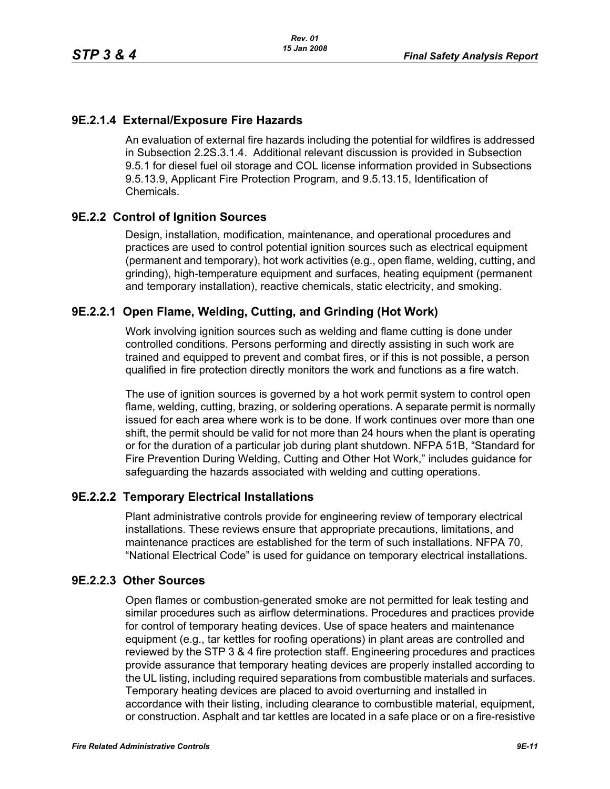# **9E.2.1.4 External/Exposure Fire Hazards**

An evaluation of external fire hazards including the potential for wildfires is addressed in Subsection 2.2S.3.1.4. Additional relevant discussion is provided in Subsection 9.5.1 for diesel fuel oil storage and COL license information provided in Subsections 9.5.13.9, Applicant Fire Protection Program, and 9.5.13.15, Identification of Chemicals.

# **9E.2.2 Control of Ignition Sources**

Design, installation, modification, maintenance, and operational procedures and practices are used to control potential ignition sources such as electrical equipment (permanent and temporary), hot work activities (e.g., open flame, welding, cutting, and grinding), high-temperature equipment and surfaces, heating equipment (permanent and temporary installation), reactive chemicals, static electricity, and smoking.

# **9E.2.2.1 Open Flame, Welding, Cutting, and Grinding (Hot Work)**

Work involving ignition sources such as welding and flame cutting is done under controlled conditions. Persons performing and directly assisting in such work are trained and equipped to prevent and combat fires, or if this is not possible, a person qualified in fire protection directly monitors the work and functions as a fire watch.

The use of ignition sources is governed by a hot work permit system to control open flame, welding, cutting, brazing, or soldering operations. A separate permit is normally issued for each area where work is to be done. If work continues over more than one shift, the permit should be valid for not more than 24 hours when the plant is operating or for the duration of a particular job during plant shutdown. NFPA 51B, "Standard for Fire Prevention During Welding, Cutting and Other Hot Work," includes guidance for safeguarding the hazards associated with welding and cutting operations.

# **9E.2.2.2 Temporary Electrical Installations**

Plant administrative controls provide for engineering review of temporary electrical installations. These reviews ensure that appropriate precautions, limitations, and maintenance practices are established for the term of such installations. NFPA 70, "National Electrical Code" is used for guidance on temporary electrical installations.

# **9E.2.2.3 Other Sources**

Open flames or combustion-generated smoke are not permitted for leak testing and similar procedures such as airflow determinations. Procedures and practices provide for control of temporary heating devices. Use of space heaters and maintenance equipment (e.g., tar kettles for roofing operations) in plant areas are controlled and reviewed by the STP 3 & 4 fire protection staff. Engineering procedures and practices provide assurance that temporary heating devices are properly installed according to the UL listing, including required separations from combustible materials and surfaces. Temporary heating devices are placed to avoid overturning and installed in accordance with their listing, including clearance to combustible material, equipment, or construction. Asphalt and tar kettles are located in a safe place or on a fire-resistive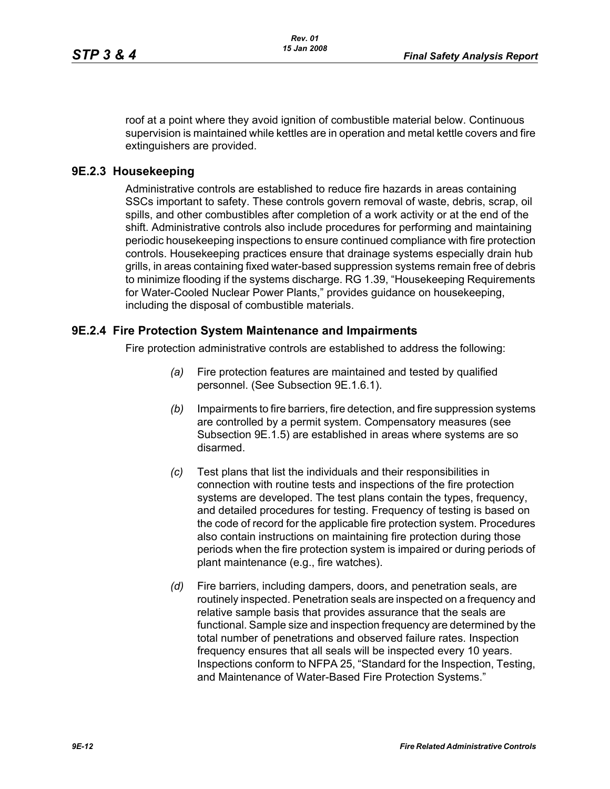roof at a point where they avoid ignition of combustible material below. Continuous supervision is maintained while kettles are in operation and metal kettle covers and fire extinguishers are provided.

## **9E.2.3 Housekeeping**

Administrative controls are established to reduce fire hazards in areas containing SSCs important to safety. These controls govern removal of waste, debris, scrap, oil spills, and other combustibles after completion of a work activity or at the end of the shift. Administrative controls also include procedures for performing and maintaining periodic housekeeping inspections to ensure continued compliance with fire protection controls. Housekeeping practices ensure that drainage systems especially drain hub grills, in areas containing fixed water-based suppression systems remain free of debris to minimize flooding if the systems discharge. RG 1.39, "Housekeeping Requirements for Water-Cooled Nuclear Power Plants," provides guidance on housekeeping, including the disposal of combustible materials.

### **9E.2.4 Fire Protection System Maintenance and Impairments**

Fire protection administrative controls are established to address the following:

- *(a)* Fire protection features are maintained and tested by qualified personnel. (See Subsection 9E.1.6.1).
- *(b)* Impairments to fire barriers, fire detection, and fire suppression systems are controlled by a permit system. Compensatory measures (see Subsection 9E.1.5) are established in areas where systems are so disarmed.
- *(c)* Test plans that list the individuals and their responsibilities in connection with routine tests and inspections of the fire protection systems are developed. The test plans contain the types, frequency, and detailed procedures for testing. Frequency of testing is based on the code of record for the applicable fire protection system. Procedures also contain instructions on maintaining fire protection during those periods when the fire protection system is impaired or during periods of plant maintenance (e.g., fire watches).
- *(d)* Fire barriers, including dampers, doors, and penetration seals, are routinely inspected. Penetration seals are inspected on a frequency and relative sample basis that provides assurance that the seals are functional. Sample size and inspection frequency are determined by the total number of penetrations and observed failure rates. Inspection frequency ensures that all seals will be inspected every 10 years. Inspections conform to NFPA 25, "Standard for the Inspection, Testing, and Maintenance of Water-Based Fire Protection Systems."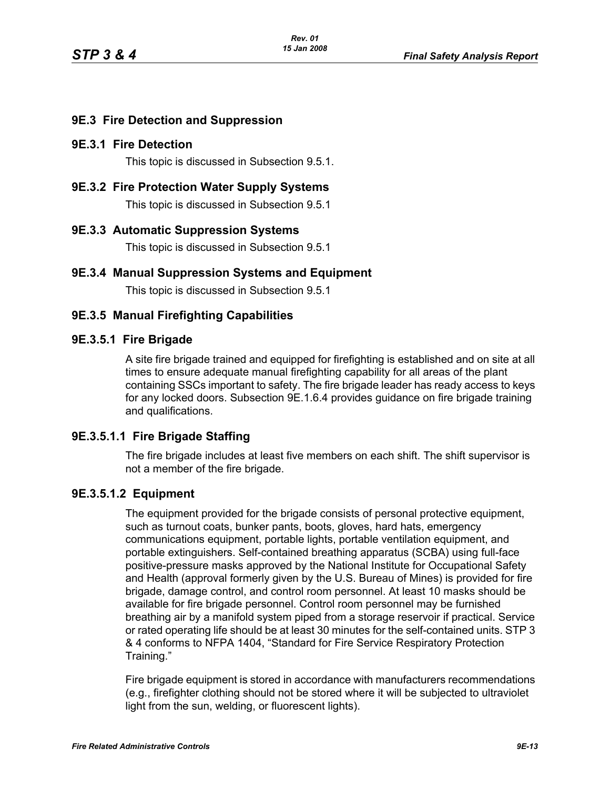# **9E.3 Fire Detection and Suppression**

## **9E.3.1 Fire Detection**

This topic is discussed in Subsection 9.5.1.

**9E.3.2 Fire Protection Water Supply Systems**

This topic is discussed in Subsection 9.5.1

### **9E.3.3 Automatic Suppression Systems**

This topic is discussed in Subsection 9.5.1

## **9E.3.4 Manual Suppression Systems and Equipment**

This topic is discussed in Subsection 9.5.1

## **9E.3.5 Manual Firefighting Capabilities**

#### **9E.3.5.1 Fire Brigade**

A site fire brigade trained and equipped for firefighting is established and on site at all times to ensure adequate manual firefighting capability for all areas of the plant containing SSCs important to safety. The fire brigade leader has ready access to keys for any locked doors. Subsection 9E.1.6.4 provides guidance on fire brigade training and qualifications.

### **9E.3.5.1.1 Fire Brigade Staffing**

The fire brigade includes at least five members on each shift. The shift supervisor is not a member of the fire brigade.

### **9E.3.5.1.2 Equipment**

The equipment provided for the brigade consists of personal protective equipment, such as turnout coats, bunker pants, boots, gloves, hard hats, emergency communications equipment, portable lights, portable ventilation equipment, and portable extinguishers. Self-contained breathing apparatus (SCBA) using full-face positive-pressure masks approved by the National Institute for Occupational Safety and Health (approval formerly given by the U.S. Bureau of Mines) is provided for fire brigade, damage control, and control room personnel. At least 10 masks should be available for fire brigade personnel. Control room personnel may be furnished breathing air by a manifold system piped from a storage reservoir if practical. Service or rated operating life should be at least 30 minutes for the self-contained units. STP 3 & 4 conforms to NFPA 1404, "Standard for Fire Service Respiratory Protection Training."

Fire brigade equipment is stored in accordance with manufacturers recommendations (e.g., firefighter clothing should not be stored where it will be subjected to ultraviolet light from the sun, welding, or fluorescent lights).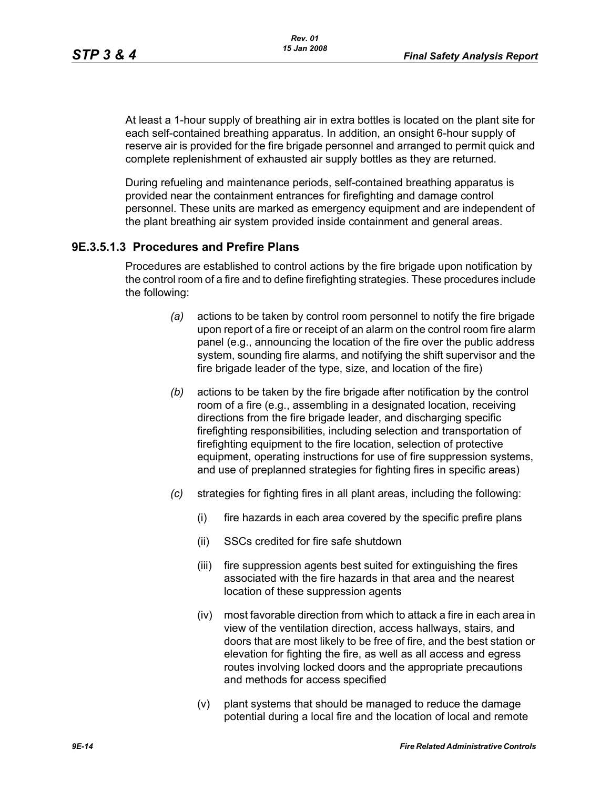At least a 1-hour supply of breathing air in extra bottles is located on the plant site for each self-contained breathing apparatus. In addition, an onsight 6-hour supply of reserve air is provided for the fire brigade personnel and arranged to permit quick and complete replenishment of exhausted air supply bottles as they are returned.

During refueling and maintenance periods, self-contained breathing apparatus is provided near the containment entrances for firefighting and damage control personnel. These units are marked as emergency equipment and are independent of the plant breathing air system provided inside containment and general areas.

## **9E.3.5.1.3 Procedures and Prefire Plans**

Procedures are established to control actions by the fire brigade upon notification by the control room of a fire and to define firefighting strategies. These procedures include the following:

- *(a)* actions to be taken by control room personnel to notify the fire brigade upon report of a fire or receipt of an alarm on the control room fire alarm panel (e.g., announcing the location of the fire over the public address system, sounding fire alarms, and notifying the shift supervisor and the fire brigade leader of the type, size, and location of the fire)
- *(b)* actions to be taken by the fire brigade after notification by the control room of a fire (e.g., assembling in a designated location, receiving directions from the fire brigade leader, and discharging specific firefighting responsibilities, including selection and transportation of firefighting equipment to the fire location, selection of protective equipment, operating instructions for use of fire suppression systems, and use of preplanned strategies for fighting fires in specific areas)
- *(c)* strategies for fighting fires in all plant areas, including the following:
	- (i) fire hazards in each area covered by the specific prefire plans
	- (ii) SSCs credited for fire safe shutdown
	- (iii) fire suppression agents best suited for extinguishing the fires associated with the fire hazards in that area and the nearest location of these suppression agents
	- (iv) most favorable direction from which to attack a fire in each area in view of the ventilation direction, access hallways, stairs, and doors that are most likely to be free of fire, and the best station or elevation for fighting the fire, as well as all access and egress routes involving locked doors and the appropriate precautions and methods for access specified
	- (v) plant systems that should be managed to reduce the damage potential during a local fire and the location of local and remote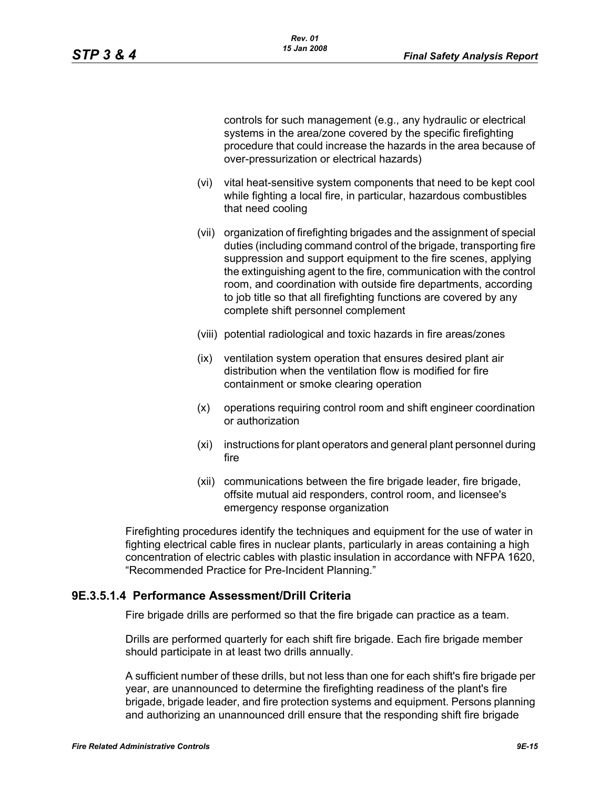controls for such management (e.g., any hydraulic or electrical systems in the area/zone covered by the specific firefighting procedure that could increase the hazards in the area because of over-pressurization or electrical hazards)

- (vi) vital heat-sensitive system components that need to be kept cool while fighting a local fire, in particular, hazardous combustibles that need cooling
- (vii) organization of firefighting brigades and the assignment of special duties (including command control of the brigade, transporting fire suppression and support equipment to the fire scenes, applying the extinguishing agent to the fire, communication with the control room, and coordination with outside fire departments, according to job title so that all firefighting functions are covered by any complete shift personnel complement
- (viii) potential radiological and toxic hazards in fire areas/zones
- (ix) ventilation system operation that ensures desired plant air distribution when the ventilation flow is modified for fire containment or smoke clearing operation
- (x) operations requiring control room and shift engineer coordination or authorization
- (xi) instructions for plant operators and general plant personnel during fire
- (xii) communications between the fire brigade leader, fire brigade, offsite mutual aid responders, control room, and licensee's emergency response organization

Firefighting procedures identify the techniques and equipment for the use of water in fighting electrical cable fires in nuclear plants, particularly in areas containing a high concentration of electric cables with plastic insulation in accordance with NFPA 1620, "Recommended Practice for Pre-Incident Planning."

### **9E.3.5.1.4 Performance Assessment/Drill Criteria**

Fire brigade drills are performed so that the fire brigade can practice as a team.

Drills are performed quarterly for each shift fire brigade. Each fire brigade member should participate in at least two drills annually.

A sufficient number of these drills, but not less than one for each shift's fire brigade per year, are unannounced to determine the firefighting readiness of the plant's fire brigade, brigade leader, and fire protection systems and equipment. Persons planning and authorizing an unannounced drill ensure that the responding shift fire brigade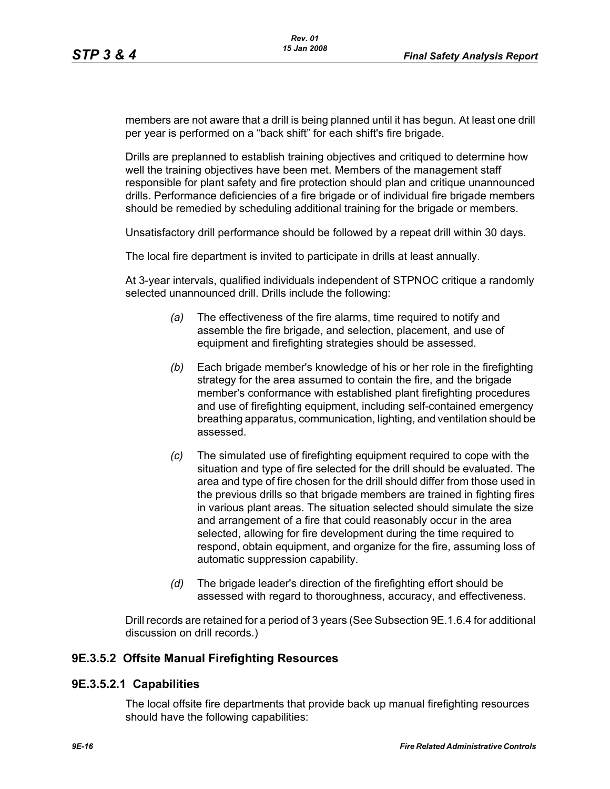members are not aware that a drill is being planned until it has begun. At least one drill per year is performed on a "back shift" for each shift's fire brigade.

Drills are preplanned to establish training objectives and critiqued to determine how well the training objectives have been met. Members of the management staff responsible for plant safety and fire protection should plan and critique unannounced drills. Performance deficiencies of a fire brigade or of individual fire brigade members should be remedied by scheduling additional training for the brigade or members.

Unsatisfactory drill performance should be followed by a repeat drill within 30 days.

The local fire department is invited to participate in drills at least annually.

At 3-year intervals, qualified individuals independent of STPNOC critique a randomly selected unannounced drill. Drills include the following:

- *(a)* The effectiveness of the fire alarms, time required to notify and assemble the fire brigade, and selection, placement, and use of equipment and firefighting strategies should be assessed.
- *(b)* Each brigade member's knowledge of his or her role in the firefighting strategy for the area assumed to contain the fire, and the brigade member's conformance with established plant firefighting procedures and use of firefighting equipment, including self-contained emergency breathing apparatus, communication, lighting, and ventilation should be assessed.
- *(c)* The simulated use of firefighting equipment required to cope with the situation and type of fire selected for the drill should be evaluated. The area and type of fire chosen for the drill should differ from those used in the previous drills so that brigade members are trained in fighting fires in various plant areas. The situation selected should simulate the size and arrangement of a fire that could reasonably occur in the area selected, allowing for fire development during the time required to respond, obtain equipment, and organize for the fire, assuming loss of automatic suppression capability.
- *(d)* The brigade leader's direction of the firefighting effort should be assessed with regard to thoroughness, accuracy, and effectiveness.

Drill records are retained for a period of 3 years (See Subsection 9E.1.6.4 for additional discussion on drill records.)

### **9E.3.5.2 Offsite Manual Firefighting Resources**

### **9E.3.5.2.1 Capabilities**

The local offsite fire departments that provide back up manual firefighting resources should have the following capabilities: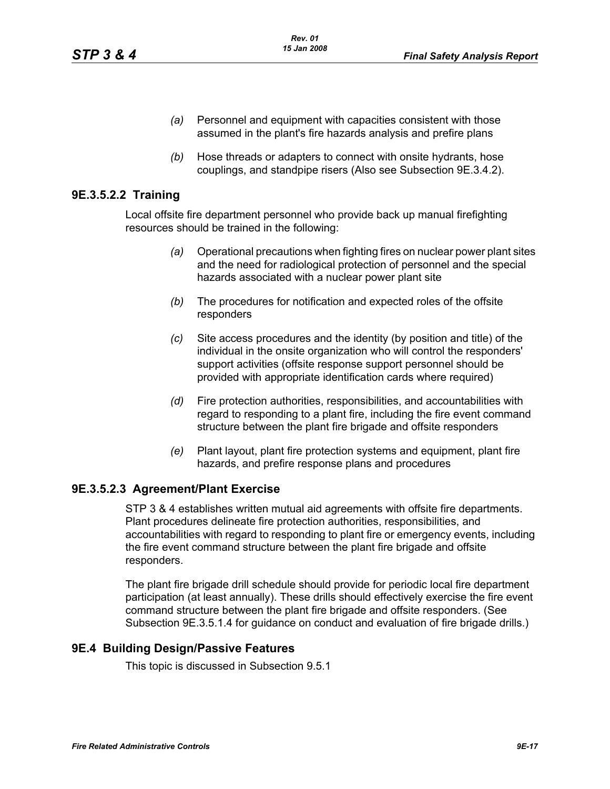- *(a)* Personnel and equipment with capacities consistent with those assumed in the plant's fire hazards analysis and prefire plans
- *(b)* Hose threads or adapters to connect with onsite hydrants, hose couplings, and standpipe risers (Also see Subsection 9E.3.4.2).

## **9E.3.5.2.2 Training**

Local offsite fire department personnel who provide back up manual firefighting resources should be trained in the following:

- *(a)* Operational precautions when fighting fires on nuclear power plant sites and the need for radiological protection of personnel and the special hazards associated with a nuclear power plant site
- *(b)* The procedures for notification and expected roles of the offsite responders
- *(c)* Site access procedures and the identity (by position and title) of the individual in the onsite organization who will control the responders' support activities (offsite response support personnel should be provided with appropriate identification cards where required)
- *(d)* Fire protection authorities, responsibilities, and accountabilities with regard to responding to a plant fire, including the fire event command structure between the plant fire brigade and offsite responders
- *(e)* Plant layout, plant fire protection systems and equipment, plant fire hazards, and prefire response plans and procedures

# **9E.3.5.2.3 Agreement/Plant Exercise**

STP 3 & 4 establishes written mutual aid agreements with offsite fire departments. Plant procedures delineate fire protection authorities, responsibilities, and accountabilities with regard to responding to plant fire or emergency events, including the fire event command structure between the plant fire brigade and offsite responders.

The plant fire brigade drill schedule should provide for periodic local fire department participation (at least annually). These drills should effectively exercise the fire event command structure between the plant fire brigade and offsite responders. (See Subsection 9E.3.5.1.4 for guidance on conduct and evaluation of fire brigade drills.)

### **9E.4 Building Design/Passive Features**

This topic is discussed in Subsection 9.5.1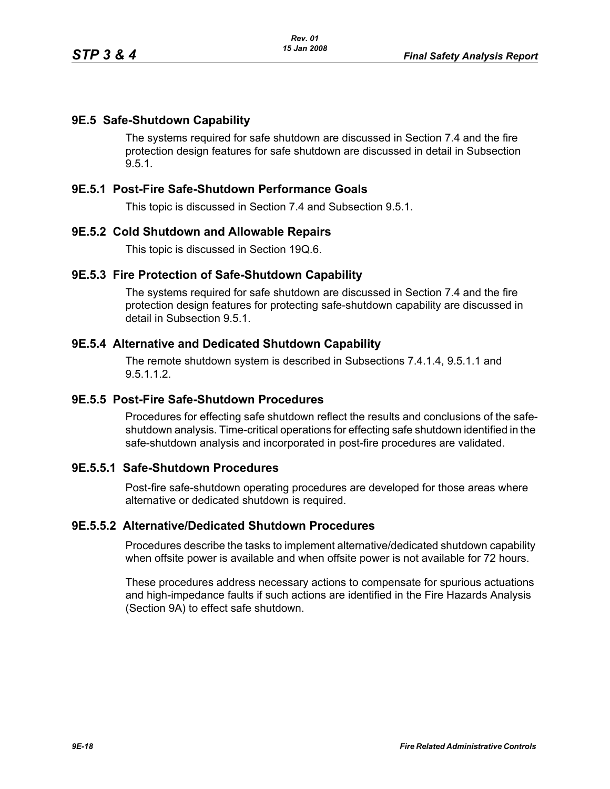## **9E.5 Safe-Shutdown Capability**

The systems required for safe shutdown are discussed in Section 7.4 and the fire protection design features for safe shutdown are discussed in detail in Subsection 9.5.1.

## **9E.5.1 Post-Fire Safe-Shutdown Performance Goals**

This topic is discussed in Section 7.4 and Subsection 9.5.1.

#### **9E.5.2 Cold Shutdown and Allowable Repairs**

This topic is discussed in Section 19Q.6.

#### **9E.5.3 Fire Protection of Safe-Shutdown Capability**

The systems required for safe shutdown are discussed in Section 7.4 and the fire protection design features for protecting safe-shutdown capability are discussed in detail in Subsection 9.5.1.

#### **9E.5.4 Alternative and Dedicated Shutdown Capability**

The remote shutdown system is described in Subsections 7.4.1.4, 9.5.1.1 and 9.5.1.1.2.

#### **9E.5.5 Post-Fire Safe-Shutdown Procedures**

Procedures for effecting safe shutdown reflect the results and conclusions of the safeshutdown analysis. Time-critical operations for effecting safe shutdown identified in the safe-shutdown analysis and incorporated in post-fire procedures are validated.

# **9E.5.5.1 Safe-Shutdown Procedures**

Post-fire safe-shutdown operating procedures are developed for those areas where alternative or dedicated shutdown is required.

#### **9E.5.5.2 Alternative/Dedicated Shutdown Procedures**

Procedures describe the tasks to implement alternative/dedicated shutdown capability when offsite power is available and when offsite power is not available for 72 hours.

These procedures address necessary actions to compensate for spurious actuations and high-impedance faults if such actions are identified in the Fire Hazards Analysis (Section 9A) to effect safe shutdown.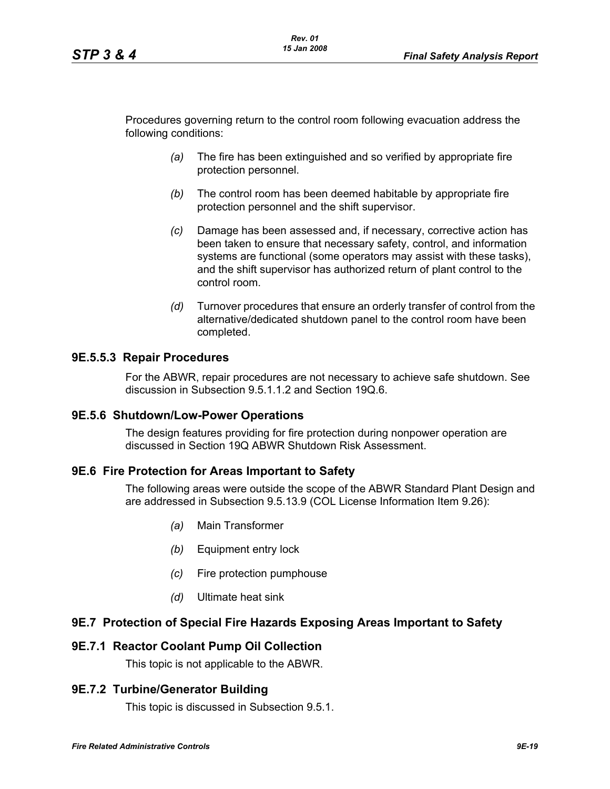Procedures governing return to the control room following evacuation address the following conditions:

- *(a)* The fire has been extinguished and so verified by appropriate fire protection personnel.
- *(b)* The control room has been deemed habitable by appropriate fire protection personnel and the shift supervisor.
- *(c)* Damage has been assessed and, if necessary, corrective action has been taken to ensure that necessary safety, control, and information systems are functional (some operators may assist with these tasks), and the shift supervisor has authorized return of plant control to the control room.
- *(d)* Turnover procedures that ensure an orderly transfer of control from the alternative/dedicated shutdown panel to the control room have been completed.

## **9E.5.5.3 Repair Procedures**

For the ABWR, repair procedures are not necessary to achieve safe shutdown. See discussion in Subsection 9.5.1.1.2 and Section 19Q.6.

### **9E.5.6 Shutdown/Low-Power Operations**

The design features providing for fire protection during nonpower operation are discussed in Section 19Q ABWR Shutdown Risk Assessment.

### **9E.6 Fire Protection for Areas Important to Safety**

The following areas were outside the scope of the ABWR Standard Plant Design and are addressed in Subsection 9.5.13.9 (COL License Information Item 9.26):

- *(a)* Main Transformer
- *(b)* Equipment entry lock
- *(c)* Fire protection pumphouse
- *(d)* Ultimate heat sink

# **9E.7 Protection of Special Fire Hazards Exposing Areas Important to Safety**

## **9E.7.1 Reactor Coolant Pump Oil Collection**

This topic is not applicable to the ABWR.

# **9E.7.2 Turbine/Generator Building**

This topic is discussed in Subsection 9.5.1.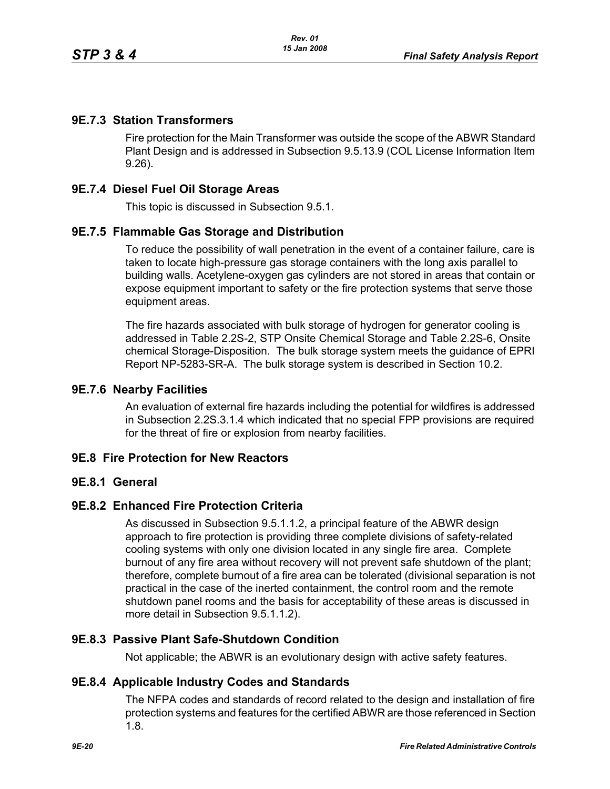# **9E.7.3 Station Transformers**

Fire protection for the Main Transformer was outside the scope of the ABWR Standard Plant Design and is addressed in Subsection 9.5.13.9 (COL License Information Item 9.26).

## **9E.7.4 Diesel Fuel Oil Storage Areas**

This topic is discussed in Subsection 9.5.1.

## **9E.7.5 Flammable Gas Storage and Distribution**

To reduce the possibility of wall penetration in the event of a container failure, care is taken to locate high-pressure gas storage containers with the long axis parallel to building walls. Acetylene-oxygen gas cylinders are not stored in areas that contain or expose equipment important to safety or the fire protection systems that serve those equipment areas.

The fire hazards associated with bulk storage of hydrogen for generator cooling is addressed in Table 2.2S-2, STP Onsite Chemical Storage and Table 2.2S-6, Onsite chemical Storage-Disposition. The bulk storage system meets the guidance of EPRI Report NP-5283-SR-A. The bulk storage system is described in Section 10.2.

### **9E.7.6 Nearby Facilities**

An evaluation of external fire hazards including the potential for wildfires is addressed in Subsection 2.2S.3.1.4 which indicated that no special FPP provisions are required for the threat of fire or explosion from nearby facilities.

### **9E.8 Fire Protection for New Reactors**

### **9E.8.1 General**

## **9E.8.2 Enhanced Fire Protection Criteria**

As discussed in Subsection 9.5.1.1.2, a principal feature of the ABWR design approach to fire protection is providing three complete divisions of safety-related cooling systems with only one division located in any single fire area. Complete burnout of any fire area without recovery will not prevent safe shutdown of the plant; therefore, complete burnout of a fire area can be tolerated (divisional separation is not practical in the case of the inerted containment, the control room and the remote shutdown panel rooms and the basis for acceptability of these areas is discussed in more detail in Subsection 9.5.1.1.2).

## **9E.8.3 Passive Plant Safe-Shutdown Condition**

Not applicable; the ABWR is an evolutionary design with active safety features.

### **9E.8.4 Applicable Industry Codes and Standards**

The NFPA codes and standards of record related to the design and installation of fire protection systems and features for the certified ABWR are those referenced in Section 1.8.